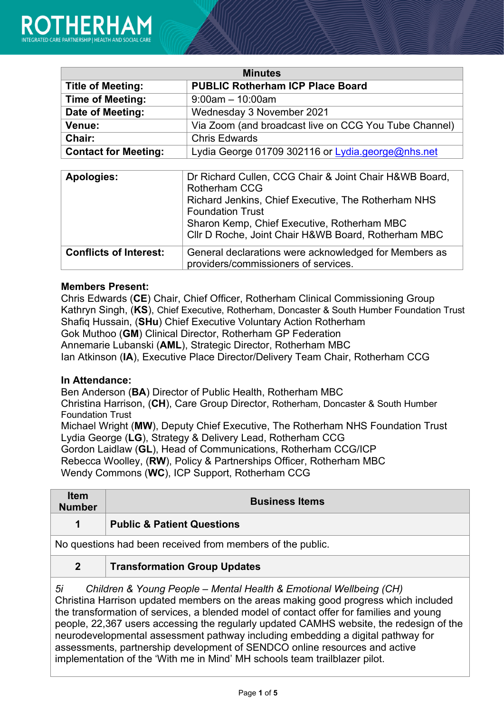| <b>Minutes</b>              |                                                       |
|-----------------------------|-------------------------------------------------------|
| <b>Title of Meeting:</b>    | <b>PUBLIC Rotherham ICP Place Board</b>               |
| <b>Time of Meeting:</b>     | $9:00$ am $-10:00$ am                                 |
| Date of Meeting:            | Wednesday 3 November 2021                             |
| Venue:                      | Via Zoom (and broadcast live on CCG You Tube Channel) |
| <b>Chair:</b>               | <b>Chris Edwards</b>                                  |
| <b>Contact for Meeting:</b> | Lydia George 01709 302116 or Lydia.george@nhs.net     |

| <b>Apologies:</b>             | Dr Richard Cullen, CCG Chair & Joint Chair H&WB Board,<br><b>Rotherham CCG</b><br>Richard Jenkins, Chief Executive, The Rotherham NHS<br><b>Foundation Trust</b><br>Sharon Kemp, Chief Executive, Rotherham MBC<br>Cllr D Roche, Joint Chair H&WB Board, Rotherham MBC |
|-------------------------------|------------------------------------------------------------------------------------------------------------------------------------------------------------------------------------------------------------------------------------------------------------------------|
|                               |                                                                                                                                                                                                                                                                        |
| <b>Conflicts of Interest:</b> | General declarations were acknowledged for Members as<br>providers/commissioners of services.                                                                                                                                                                          |

#### **Members Present:**

Chris Edwards (**CE**) Chair, Chief Officer, Rotherham Clinical Commissioning Group Kathryn Singh, (**KS**), Chief Executive, Rotherham, Doncaster & South Humber Foundation Trust Shafiq Hussain, (**SHu**) Chief Executive Voluntary Action Rotherham Gok Muthoo (**GM**) Clinical Director, Rotherham GP Federation Annemarie Lubanski (**AML**), Strategic Director, Rotherham MBC Ian Atkinson (**IA**), Executive Place Director/Delivery Team Chair, Rotherham CCG

### **In Attendance:**

Ben Anderson (**BA**) Director of Public Health, Rotherham MBC Christina Harrison, (**CH**), Care Group Director, Rotherham, Doncaster & South Humber

Foundation Trust Michael Wright (**MW**), Deputy Chief Executive, The Rotherham NHS Foundation Trust Lydia George (**LG**), Strategy & Delivery Lead, Rotherham CCG Gordon Laidlaw (**GL**), Head of Communications, Rotherham CCG/ICP Rebecca Woolley, (**RW**), Policy & Partnerships Officer, Rotherham MBC Wendy Commons (**WC**), ICP Support, Rotherham CCG

| <b>Item</b><br><b>Number</b>                                                                                                                                                                                                                                                                                   | <b>Business Items</b>                 |
|----------------------------------------------------------------------------------------------------------------------------------------------------------------------------------------------------------------------------------------------------------------------------------------------------------------|---------------------------------------|
| 1                                                                                                                                                                                                                                                                                                              | <b>Public &amp; Patient Questions</b> |
| No questions had been received from members of the public.                                                                                                                                                                                                                                                     |                                       |
| $\mathbf{2}$                                                                                                                                                                                                                                                                                                   | <b>Transformation Group Updates</b>   |
| 5i<br>Children & Young People - Mental Health & Emotional Wellbeing (CH)<br>$\bigcap_{i=1}^{n}$ , the contract of the contract of the contract of the contract of the contract of the contract of the contract of the contract of the contract of the contract of the contract of the contract of the contract |                                       |

Christina Harrison updated members on the areas making good progress which included the transformation of services, a blended model of contact offer for families and young people, 22,367 users accessing the regularly updated CAMHS website, the redesign of the neurodevelopmental assessment pathway including embedding a digital pathway for assessments, partnership development of SENDCO online resources and active implementation of the 'With me in Mind' MH schools team trailblazer pilot.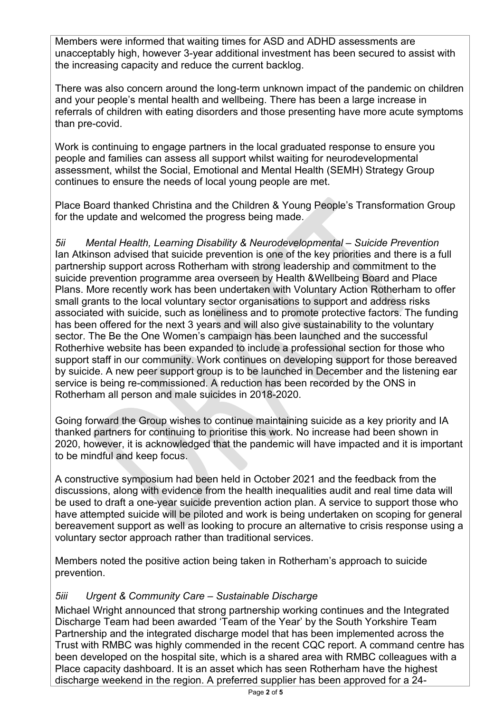Members were informed that waiting times for ASD and ADHD assessments are unacceptably high, however 3-year additional investment has been secured to assist with the increasing capacity and reduce the current backlog.

There was also concern around the long-term unknown impact of the pandemic on children and your people's mental health and wellbeing. There has been a large increase in referrals of children with eating disorders and those presenting have more acute symptoms than pre-covid.

Work is continuing to engage partners in the local graduated response to ensure you people and families can assess all support whilst waiting for neurodevelopmental assessment, whilst the Social, Emotional and Mental Health (SEMH) Strategy Group continues to ensure the needs of local young people are met.

Place Board thanked Christina and the Children & Young People's Transformation Group for the update and welcomed the progress being made.

*5ii Mental Health, Learning Disability & Neurodevelopmental – Suicide Prevention* Ian Atkinson advised that suicide prevention is one of the key priorities and there is a full partnership support across Rotherham with strong leadership and commitment to the suicide prevention programme area overseen by Health &Wellbeing Board and Place Plans. More recently work has been undertaken with Voluntary Action Rotherham to offer small grants to the local voluntary sector organisations to support and address risks associated with suicide, such as loneliness and to promote protective factors. The funding has been offered for the next 3 years and will also give sustainability to the voluntary sector. The Be the One Women's campaign has been launched and the successful Rotherhive website has been expanded to include a professional section for those who support staff in our community. Work continues on developing support for those bereaved by suicide. A new peer support group is to be launched in December and the listening ear service is being re-commissioned. A reduction has been recorded by the ONS in Rotherham all person and male suicides in 2018-2020.

Going forward the Group wishes to continue maintaining suicide as a key priority and IA thanked partners for continuing to prioritise this work. No increase had been shown in 2020, however, it is acknowledged that the pandemic will have impacted and it is important to be mindful and keep focus.

A constructive symposium had been held in October 2021 and the feedback from the discussions, along with evidence from the health inequalities audit and real time data will be used to draft a one-year suicide prevention action plan. A service to support those who have attempted suicide will be piloted and work is being undertaken on scoping for general bereavement support as well as looking to procure an alternative to crisis response using a voluntary sector approach rather than traditional services.

Members noted the positive action being taken in Rotherham's approach to suicide prevention.

## *5iii Urgent & Community Care – Sustainable Discharge*

Michael Wright announced that strong partnership working continues and the Integrated Discharge Team had been awarded 'Team of the Year' by the South Yorkshire Team Partnership and the integrated discharge model that has been implemented across the Trust with RMBC was highly commended in the recent CQC report. A command centre has been developed on the hospital site, which is a shared area with RMBC colleagues with a Place capacity dashboard. It is an asset which has seen Rotherham have the highest discharge weekend in the region. A preferred supplier has been approved for a 24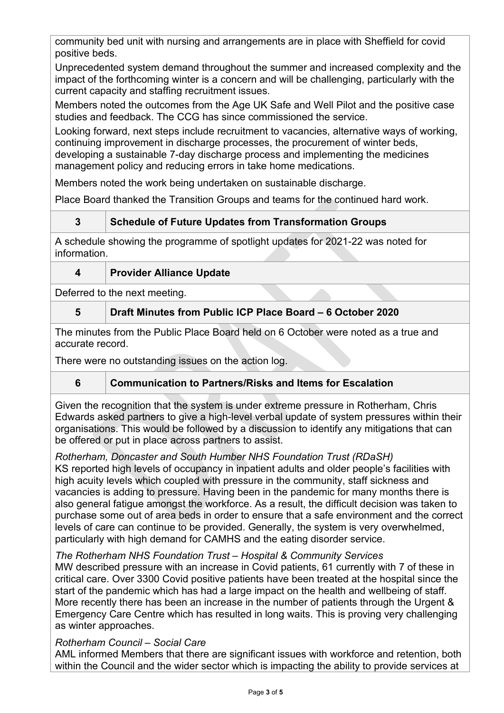community bed unit with nursing and arrangements are in place with Sheffield for covid positive beds.

Unprecedented system demand throughout the summer and increased complexity and the impact of the forthcoming winter is a concern and will be challenging, particularly with the current capacity and staffing recruitment issues.

Members noted the outcomes from the Age UK Safe and Well Pilot and the positive case studies and feedback. The CCG has since commissioned the service.

Looking forward, next steps include recruitment to vacancies, alternative ways of working, continuing improvement in discharge processes, the procurement of winter beds, developing a sustainable 7-day discharge process and implementing the medicines management policy and reducing errors in take home medications.

Members noted the work being undertaken on sustainable discharge.

Place Board thanked the Transition Groups and teams for the continued hard work.

# **3 Schedule of Future Updates from Transformation Groups**

A schedule showing the programme of spotlight updates for 2021-22 was noted for information.

## **4 Provider Alliance Update**

Deferred to the next meeting.

## **5 Draft Minutes from Public ICP Place Board – 6 October 2020**

The minutes from the Public Place Board held on 6 October were noted as a true and accurate record.

There were no outstanding issues on the action log.

# **6 Communication to Partners/Risks and Items for Escalation**

Given the recognition that the system is under extreme pressure in Rotherham, Chris Edwards asked partners to give a high-level verbal update of system pressures within their organisations. This would be followed by a discussion to identify any mitigations that can be offered or put in place across partners to assist.

### *Rotherham, Doncaster and South Humber NHS Foundation Trust (RDaSH)*

KS reported high levels of occupancy in inpatient adults and older people's facilities with high acuity levels which coupled with pressure in the community, staff sickness and vacancies is adding to pressure. Having been in the pandemic for many months there is also general fatigue amongst the workforce. As a result, the difficult decision was taken to purchase some out of area beds in order to ensure that a safe environment and the correct levels of care can continue to be provided. Generally, the system is very overwhelmed, particularly with high demand for CAMHS and the eating disorder service.

### *The Rotherham NHS Foundation Trust – Hospital & Community Services*

MW described pressure with an increase in Covid patients, 61 currently with 7 of these in critical care. Over 3300 Covid positive patients have been treated at the hospital since the start of the pandemic which has had a large impact on the health and wellbeing of staff. More recently there has been an increase in the number of patients through the Urgent & Emergency Care Centre which has resulted in long waits. This is proving very challenging as winter approaches.

### *Rotherham Council – Social Care*

AML informed Members that there are significant issues with workforce and retention, both within the Council and the wider sector which is impacting the ability to provide services at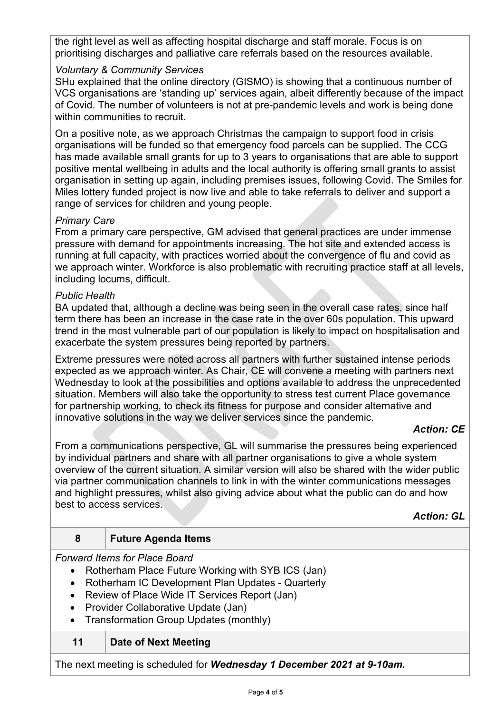the right level as well as affecting hospital discharge and staff morale. Focus is on prioritising discharges and palliative care referrals based on the resources available.

### *Voluntary & Community Services*

SHu explained that the online directory (GISMO) is showing that a continuous number of VCS organisations are 'standing up' services again, albeit differently because of the impact of Covid. The number of volunteers is not at pre-pandemic levels and work is being done within communities to recruit.

On a positive note, as we approach Christmas the campaign to support food in crisis organisations will be funded so that emergency food parcels can be supplied. The CCG has made available small grants for up to 3 years to organisations that are able to support positive mental wellbeing in adults and the local authority is offering small grants to assist organisation in setting up again, including premises issues, following Covid. The Smiles for Miles lottery funded project is now live and able to take referrals to deliver and support a range of services for children and young people.

#### *Primary Care*

From a primary care perspective, GM advised that general practices are under immense pressure with demand for appointments increasing. The hot site and extended access is running at full capacity, with practices worried about the convergence of flu and covid as we approach winter. Workforce is also problematic with recruiting practice staff at all levels, including locums, difficult.

#### *Public Health*

BA updated that, although a decline was being seen in the overall case rates, since half term there has been an increase in the case rate in the over 60s population. This upward trend in the most vulnerable part of our population is likely to impact on hospitalisation and exacerbate the system pressures being reported by partners.

Extreme pressures were noted across all partners with further sustained intense periods expected as we approach winter. As Chair, CE will convene a meeting with partners next Wednesday to look at the possibilities and options available to address the unprecedented situation. Members will also take the opportunity to stress test current Place governance for partnership working, to check its fitness for purpose and consider alternative and innovative solutions in the way we deliver services since the pandemic.

### *Action: CE*

From a communications perspective, GL will summarise the pressures being experienced by individual partners and share with all partner organisations to give a whole system overview of the current situation. A similar version will also be shared with the wider public via partner communication channels to link in with the winter communications messages and highlight pressures, whilst also giving advice about what the public can do and how best to access services.

*Action: GL*

### **8 Future Agenda Items**

*Forward Items for Place Board*

- Rotherham Place Future Working with SYB ICS (Jan)
- Rotherham IC Development Plan Updates Quarterly
- Review of Place Wide IT Services Report (Jan)
- Provider Collaborative Update (Jan)
- Transformation Group Updates (monthly)

## **11 Date of Next Meeting**

The next meeting is scheduled for *Wednesday 1 December 2021 at 9-10am.*